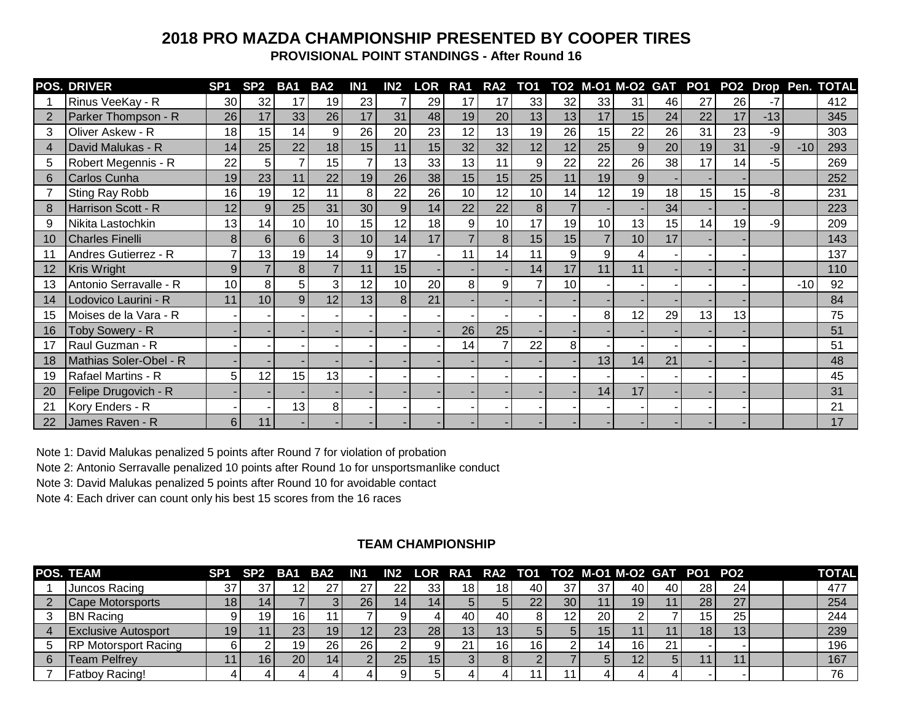## **2018 PRO MAZDA CHAMPIONSHIP PRESENTED BY COOPER TIRES**

**PROVISIONAL POINT STANDINGS - After Round 16**

|    | <b>POS. DRIVER</b>     | SP <sub>1</sub> | SP <sub>2</sub> | BA1 | BA <sub>2</sub>  | IN <sub>1</sub> | IN2 | <b>LOR</b> | RA1             | RA <sub>2</sub> | TO <sub>1</sub> |    |    |                 |    |    |    |       |       | TO2 M-01 M-02 GAT PO1 PO2 Drop Pen. TOTAL |
|----|------------------------|-----------------|-----------------|-----|------------------|-----------------|-----|------------|-----------------|-----------------|-----------------|----|----|-----------------|----|----|----|-------|-------|-------------------------------------------|
|    | Rinus VeeKay - R       | 30              | 32              | 17  | 19               | 23              |     | 29         | 17              | 17              | 33              | 32 | 33 | 31              | 46 | 27 | 26 |       |       | 412                                       |
|    | Parker Thompson - R    | 26              | 17              | 33  | 26               | 17              | 31  | 48         | 19              | 20              | 13 <sub>1</sub> | 13 | 17 | 15              | 24 | 22 | 17 | $-13$ |       | 345                                       |
| 3  | Oliver Askew - R       | 18              | 15              | 14  | 9                | 26              | 20  | 23         | 12              | 13              | 19              | 26 | 15 | 22              | 26 | 31 | 23 | -9    |       | 303                                       |
|    | David Malukas - R      | 14              | 25              | 22  | 18               | 15              | 11  | 15         | 32              | 32              | 12              | 12 | 25 | 9               | 20 | 19 | 31 | -9    | $-10$ | 293                                       |
| 5  | Robert Megennis - R    | 22              | 5               |     | 15 <sup>15</sup> | $\overline{7}$  | 13  | 33         | 13 <sub>1</sub> | 11              | 9               | 22 | 22 | 26              | 38 | 17 | 14 | -5    |       | 269                                       |
| 6  | Carlos Cunha           | 19              | 23              | 11  | 22               | 19              | 26  | 38         | 15              | 15              | 25              | 11 | 19 | 9               |    |    |    |       |       | 252                                       |
|    | Sting Ray Robb         | 16              | 19              | 12  | 11               | 8               | 22  | 26         | 10              | 12              | 10              | 14 | 12 | 19              | 18 | 15 | 15 | -8    |       | 231                                       |
|    | Harrison Scott - R     | 12              | 9               | 25  | 31               | 30              | 9   | 14         | 22              | 22              | 8               |    |    |                 | 34 |    |    |       |       | 223                                       |
| 9  | Nikita Lastochkin      | 13              | 14              | 10  | 10               | 15              | 12  | 18         | 9               | 10              | 17              | 19 | 10 | 13              | 15 | 14 | 19 | -9    |       | 209                                       |
| 10 | <b>Charles Finelli</b> | 8               | 6               | 6   |                  | 10              | 14  | 17         |                 | 8               | 15              | 15 |    | 10 <sup>1</sup> | 17 |    |    |       |       | 143                                       |
|    | Andres Gutierrez - R   |                 | 13              | 19  | 14               | 9               | 17  |            | 11              | 14              | 11              | 9  | 9  |                 |    |    |    |       |       | 137                                       |
| 12 | Kris Wright            | 9               |                 | 8   |                  | 11              | 15  |            |                 |                 | 14              | 17 | 11 | 11              |    |    |    |       |       | 110                                       |
| 13 | Antonio Serravalle - R | 10              | 8               | 5   |                  | 12              | 10  | 20         | 8               | 9               |                 | 10 |    |                 |    |    |    |       | $-10$ | 92                                        |
| 14 | Lodovico Laurini - R   | 11              | 10              | 9   | 12 <sup>2</sup>  | 13              | 8   | 21         |                 |                 |                 |    |    |                 |    |    |    |       |       | 84                                        |
| 15 | Moises de la Vara - R  |                 |                 |     |                  |                 |     |            |                 |                 |                 |    | 8  | 12              | 29 | 13 | 13 |       |       | 75                                        |
| 16 | Toby Sowery - R        |                 |                 |     |                  |                 |     |            | 26              | 25              |                 |    |    |                 |    |    |    |       |       | 51                                        |
| 17 | Raul Guzman - R        |                 |                 |     |                  |                 |     |            | 14              |                 | 22              | 8  |    |                 |    |    |    |       |       | 51                                        |
| 18 | Mathias Soler-Obel - R |                 |                 |     |                  |                 |     |            |                 |                 |                 |    | 13 | 14 <sub>l</sub> | 21 |    |    |       |       | 48                                        |
| 19 | Rafael Martins - R     | 5               | 12              | 15  | 13               |                 |     |            |                 |                 |                 |    |    |                 |    |    |    |       |       | 45                                        |
| 20 | Felipe Drugovich - R   |                 |                 |     |                  |                 |     |            |                 |                 |                 |    | 14 | 17              |    |    |    |       |       | 31                                        |
| 21 | Kory Enders - R        |                 |                 | 13  | 81               |                 |     |            |                 |                 |                 |    |    |                 |    |    |    |       |       | 21                                        |
| 22 | James Raven - R        | 6               | 11              |     |                  |                 |     |            |                 |                 |                 |    |    |                 |    |    |    |       |       | 17                                        |

Note 1: David Malukas penalized 5 points after Round 7 for violation of probation

Note 2: Antonio Serravalle penalized 10 points after Round 1o for unsportsmanlike conduct

Note 3: David Malukas penalized 5 points after Round 10 for avoidable contact

Note 4: Each driver can count only his best 15 scores from the 16 races

## **TEAM CHAMPIONSHIP**

| POS. TEAM                   | SP <sub>1</sub> | SP <sub>2</sub> | BA1             | BA2 | IN1 | IN <sub>2</sub> |                 |                 |     |    |    |                 | LOR RA1 RA2 TO1 TO2 M-01 M-02 GAT PO1 PO2 |    |     |              |  | <b>TOTAL</b> |
|-----------------------------|-----------------|-----------------|-----------------|-----|-----|-----------------|-----------------|-----------------|-----|----|----|-----------------|-------------------------------------------|----|-----|--------------|--|--------------|
| Juncos Racing               | 37              | 37              |                 |     |     | 22              | 33 <sub>1</sub> | 18 <sub>1</sub> | 18. | 40 | 37 | 37              | 40                                        | 40 | 28  | 24           |  | 477          |
| Cape Motorsports            | 18 <sub>1</sub> |                 |                 |     | 26  | $^{\bullet}$ 4. | 14              |                 |     | 22 | 30 |                 | 19                                        |    | 28  | 27<br>$\sim$ |  | 254          |
| <b>BN Racing</b>            |                 | 19              | 16              |     |     |                 |                 | 40              | 40  |    |    | 20              |                                           |    | '5  | 25           |  | 244          |
| <b>Exclusive Autosport</b>  | 19              |                 | 23              |     |     | 23 <sub>l</sub> | 28 <sub>1</sub> | 13 <sub>h</sub> | 13  |    |    | 15 <sup>7</sup> |                                           |    | 18. | ี 13เ        |  | 239          |
| <b>RP Motorsport Racing</b> |                 |                 | 19              | 26  | 26  |                 |                 |                 | 16  | 16 |    | 14              | 16                                        | 21 |     |              |  | 196          |
| <b>Team Pelfrey</b>         |                 |                 | 20 <sub>1</sub> |     |     | 25 <sub>1</sub> | 15              |                 |     |    |    |                 | 12                                        | 5. |     |              |  | 167          |
| Fatboy Racing!              |                 |                 |                 |     |     |                 | ∽               |                 |     |    |    |                 |                                           |    |     |              |  | 76           |